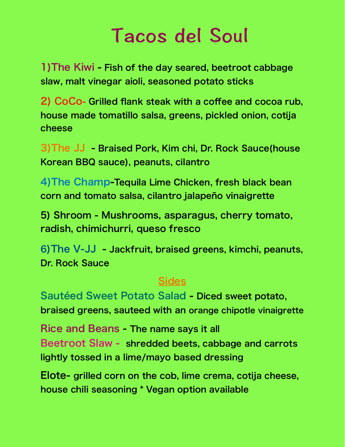## Tacos del Soul

1)The Kiwi - Fish of the day seared, beetroot cabbage slaw, malt vinegar aioli, seasoned potato sticks

2) CoCo- Grilled flank steak with a coffee and cocoa rub, house made tomatillo salsa, greens, pickled onion, cotija cheese

3)The JJ - Braised Pork, Kim chi, Dr. Rock Sauce(house Korean BBQ sauce), peanuts, cilantro

4)The Champ-Tequila Lime Chicken, fresh black bean corn and tomato salsa, cilantro jalapeño vinaigrette

5) Shroom - Mushrooms, asparagus, cherry tomato, radish, chimichurri, queso fresco

6)The V-JJ - Jackfruit, braised greens, kimchi, peanuts, Dr. Rock Sauce

## Sides

Sautéed Sweet Potato Salad - Diced sweet potato, braised greens, sauteed with an orange chipotle vinaigrette

Rice and Beans - The name says it all Beetroot Slaw - shredded beets, cabbage and carrots lightly tossed in a lime/mayo based dressing

Elote- grilled corn on the cob, lime crema, cotija cheese, house chili seasoning \* Vegan option available